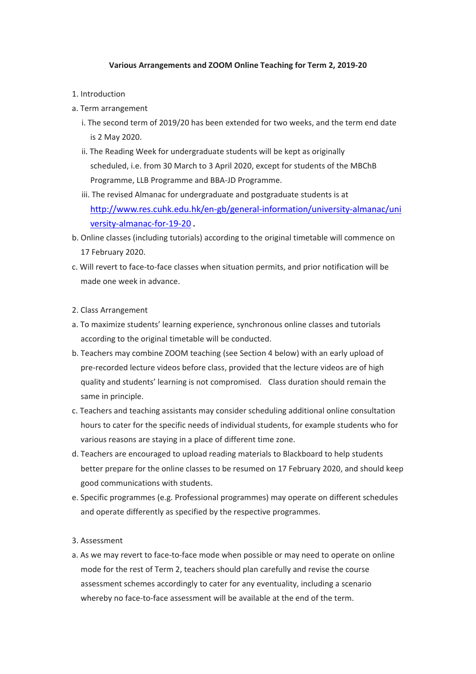## **Various Arrangements and ZOOM Online Teaching for Term 2, 2019-20**

- 1. Introduction
- a. Term arrangement
	- i. The second term of 2019/20 has been extended for two weeks, and the term end date is 2 May 2020.
	- ii. The Reading Week for undergraduate students will be kept as originally scheduled, i.e. from 30 March to 3 April 2020, except for students of the MBChB Programme, LLB Programme and BBA-JD Programme.
	- iii. The revised Almanac for undergraduate and postgraduate students is at [http://www.res.cuhk.edu.hk/en-gb/general-information/university-almanac/uni](http://www.res.cuhk.edu.hk/en-gb/general-information/university-almanac/university-almanac-for-19-20) [versity-almanac-for-19-20](http://www.res.cuhk.edu.hk/en-gb/general-information/university-almanac/university-almanac-for-19-20) **.**
- b. Online classes (including tutorials) according to the original timetable will commence on 17 February 2020.
- c. Will revert to face-to-face classes when situation permits, and prior notification will be made one week in advance.
- 2. Class Arrangement
- a. To maximize students' learning experience, synchronous online classes and tutorials according to the original timetable will be conducted.
- b. Teachers may combine ZOOM teaching (see Section 4 below) with an early upload of pre-recorded lecture videos before class, provided that the lecture videos are of high quality and students' learning is not compromised. Class duration should remain the same in principle.
- c. Teachers and teaching assistants may consider scheduling additional online consultation hours to cater for the specific needs of individual students, for example students who for various reasons are staying in a place of different time zone.
- d. Teachers are encouraged to upload reading materials to Blackboard to help students better prepare for the online classes to be resumed on 17 February 2020, and should keep good communications with students.
- e. Specific programmes (e.g. Professional programmes) may operate on different schedules and operate differently as specified by the respective programmes.

## 3. Assessment

a. As we may revert to face-to-face mode when possible or may need to operate on online mode for the rest of Term 2, teachers should plan carefully and revise the course assessment schemes accordingly to cater for any eventuality, including a scenario whereby no face-to-face assessment will be available at the end of the term.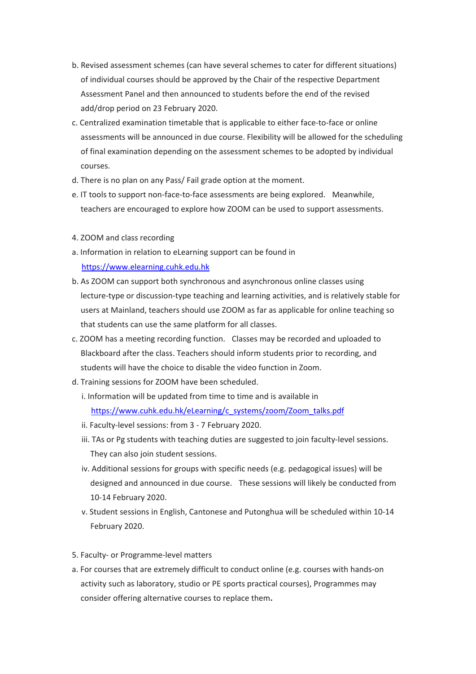- b. Revised assessment schemes (can have several schemes to cater for different situations) of individual courses should be approved by the Chair of the respective Department Assessment Panel and then announced to students before the end of the revised add/drop period on 23 February 2020.
- c. Centralized examination timetable that is applicable to either face-to-face or online assessments will be announced in due course. Flexibility will be allowed for the scheduling of final examination depending on the assessment schemes to be adopted by individual courses.
- d. There is no plan on any Pass/ Fail grade option at the moment.
- e. IT tools to support non-face-to-face assessments are being explored. Meanwhile, teachers are encouraged to explore how ZOOM can be used to support assessments.
- 4. ZOOM and class recording
- a. Information in relation to eLearning support can be found in [https://www.elearning.cuhk.edu.hk](https://www.elearning.cuhk.edu.hk/)
- b. As ZOOM can support both synchronous and asynchronous online classes using lecture-type or discussion-type teaching and learning activities, and is relatively stable for users at Mainland, teachers should use ZOOM as far as applicable for online teaching so that students can use the same platform for all classes.
- c. ZOOM has a meeting recording function. Classes may be recorded and uploaded to Blackboard after the class. Teachers should inform students prior to recording, and students will have the choice to disable the video function in Zoom.
- d. Training sessions for ZOOM have been scheduled.
	- i. Information will be updated from time to time and is available in [https://www.cuhk.edu.hk/eLearning/c\\_systems/zoom/Zoom\\_talks.pdf](https://www.cuhk.edu.hk/eLearning/c_systems/zoom/Zoom_talks.pdf)
	- ii. Faculty-level sessions: from 3 7 February 2020.
	- iii. TAs or Pg students with teaching duties are suggested to join faculty-level sessions. They can also join student sessions.
	- iv. Additional sessions for groups with specific needs (e.g. pedagogical issues) will be designed and announced in due course. These sessions will likely be conducted from 10-14 February 2020.
	- v. Student sessions in English, Cantonese and Putonghua will be scheduled within 10-14 February 2020.
- 5. Faculty- or Programme-level matters
- a. For courses that are extremely difficult to conduct online (e.g. courses with hands-on activity such as laboratory, studio or PE sports practical courses), Programmes may consider offering alternative courses to replace them**.**